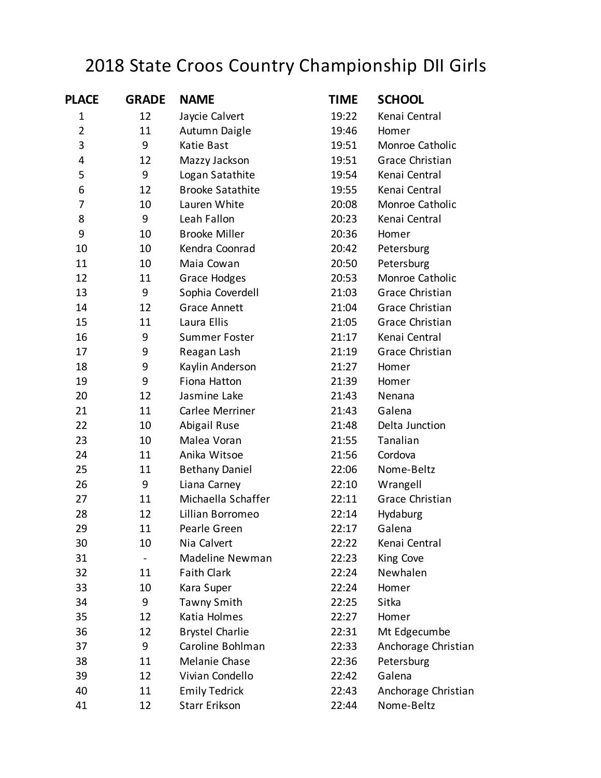## 2018 State Croos Country Championship DII Girls

| <b>PLACE</b>   | <b>GRADE</b> | <b>NAME</b>             | <b>TIME</b> | <b>SCHOOL</b>       |
|----------------|--------------|-------------------------|-------------|---------------------|
| 1              | 12           | Jaycie Calvert          | 19:22       | Kenai Central       |
| $\overline{2}$ | 11           | Autumn Daigle           | 19:46       | Homer               |
| 3              | 9            | Katie Bast              | 19:51       | Monroe Catholic     |
| 4              | 12           | Mazzy Jackson           | 19:51       | Grace Christian     |
| 5              | 9            | Logan Satathite         | 19:54       | Kenai Central       |
| 6              | 12           | <b>Brooke Satathite</b> | 19:55       | Kenai Central       |
| 7              | 10           | Lauren White            | 20:08       | Monroe Catholic     |
| 8              | 9            | Leah Fallon             | 20:23       | Kenai Central       |
| 9              | 10           | <b>Brooke Miller</b>    | 20:36       | Homer               |
| 10             | 10           | Kendra Coonrad          | 20:42       | Petersburg          |
| 11             | 10           | Maia Cowan              | 20:50       | Petersburg          |
| 12             | 11           | <b>Grace Hodges</b>     | 20:53       | Monroe Catholic     |
| 13             | 9            | Sophia Coverdell        | 21:03       | Grace Christian     |
| 14             | 12           | <b>Grace Annett</b>     | 21:04       | Grace Christian     |
| 15             | 11           | Laura Ellis             | 21:05       | Grace Christian     |
| 16             | 9            | <b>Summer Foster</b>    | 21:17       | Kenai Central       |
| 17             | 9            | Reagan Lash             | 21:19       | Grace Christian     |
| 18             | 9            | Kaylin Anderson         | 21:27       | Homer               |
| 19             | 9            | Fiona Hatton            | 21:39       | Homer               |
| 20             | 12           | Jasmine Lake            | 21:43       | Nenana              |
| 21             | 11           | Carlee Merriner         | 21:43       | Galena              |
| 22             | 10           | Abigail Ruse            | 21:48       | Delta Junction      |
| 23             | 10           | Malea Voran             | 21:55       | Tanalian            |
| 24             | 11           | Anika Witsoe            | 21:56       | Cordova             |
| 25             | 11           | <b>Bethany Daniel</b>   | 22:06       | Nome-Beltz          |
| 26             | 9            | Liana Carney            | 22:10       | Wrangell            |
| 27             | 11           | Michaella Schaffer      | 22:11       | Grace Christian     |
| 28             | 12           | Lillian Borromeo        | 22:14       | Hydaburg            |
| 29             | 11           | Pearle Green            | 22:17       | Galena              |
| 30             | 10           | Nia Calvert             | 22:22       | Kenai Central       |
| 31             |              | Madeline Newman         | 22:23       | King Cove           |
| 32             | 11           | <b>Faith Clark</b>      | 22:24       | Newhalen            |
| 33             | 10           | Kara Super              | 22:24       | Homer               |
| 34             | 9            | Tawny Smith             | 22:25       | Sitka               |
| 35             | 12           | Katia Holmes            | 22:27       | Homer               |
| 36             | 12           | <b>Brystel Charlie</b>  | 22:31       | Mt Edgecumbe        |
| 37             | 9            | Caroline Bohlman        | 22:33       | Anchorage Christian |
| 38             | 11           | Melanie Chase           | 22:36       | Petersburg          |
| 39             | 12           | Vivian Condello         | 22:42       | Galena              |
| 40             | 11           | <b>Emily Tedrick</b>    | 22:43       | Anchorage Christian |
| 41             | 12           | <b>Starr Erikson</b>    | 22:44       | Nome-Beltz          |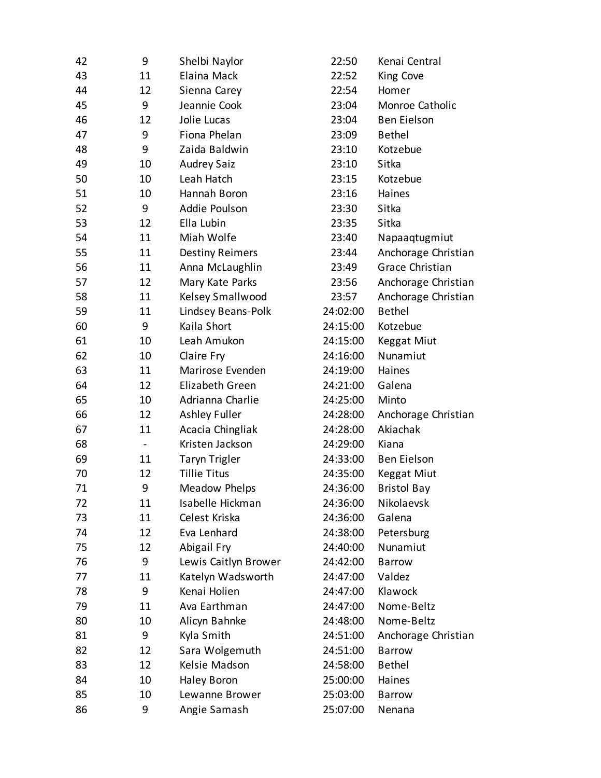| 42 | 9                            | Shelbi Naylor          | 22:50    | Kenai Central          |
|----|------------------------------|------------------------|----------|------------------------|
| 43 | 11                           | Elaina Mack            | 22:52    | King Cove              |
| 44 | 12                           | Sienna Carey           | 22:54    | Homer                  |
| 45 | 9                            | Jeannie Cook           | 23:04    | Monroe Catholic        |
| 46 | 12                           | Jolie Lucas            | 23:04    | <b>Ben Eielson</b>     |
| 47 | 9                            | Fiona Phelan           | 23:09    | <b>Bethel</b>          |
| 48 | 9                            | Zaida Baldwin          | 23:10    | Kotzebue               |
| 49 | 10                           | <b>Audrey Saiz</b>     | 23:10    | Sitka                  |
| 50 | 10                           | Leah Hatch             | 23:15    | Kotzebue               |
| 51 | 10                           | Hannah Boron           | 23:16    | Haines                 |
| 52 | 9                            | Addie Poulson          | 23:30    | Sitka                  |
| 53 | 12                           | Ella Lubin             | 23:35    | Sitka                  |
| 54 | 11                           | Miah Wolfe             | 23:40    | Napaaqtugmiut          |
| 55 | 11                           | <b>Destiny Reimers</b> | 23:44    | Anchorage Christian    |
| 56 | 11                           | Anna McLaughlin        | 23:49    | <b>Grace Christian</b> |
| 57 | 12                           | Mary Kate Parks        | 23:56    | Anchorage Christian    |
| 58 | 11                           | Kelsey Smallwood       | 23:57    | Anchorage Christian    |
| 59 | 11                           | Lindsey Beans-Polk     | 24:02:00 | <b>Bethel</b>          |
| 60 | 9                            | Kaila Short            | 24:15:00 | Kotzebue               |
| 61 | 10                           | Leah Amukon            | 24:15:00 | <b>Keggat Miut</b>     |
| 62 | 10                           | Claire Fry             | 24:16:00 | Nunamiut               |
| 63 | 11                           | Marirose Evenden       | 24:19:00 | Haines                 |
| 64 | 12                           | Elizabeth Green        | 24:21:00 | Galena                 |
| 65 | 10                           | Adrianna Charlie       | 24:25:00 | Minto                  |
| 66 | 12                           | Ashley Fuller          | 24:28:00 | Anchorage Christian    |
| 67 | 11                           | Acacia Chingliak       | 24:28:00 | Akiachak               |
| 68 | $\qquad \qquad \blacksquare$ | Kristen Jackson        | 24:29:00 | Kiana                  |
| 69 | 11                           | <b>Taryn Trigler</b>   | 24:33:00 | <b>Ben Eielson</b>     |
| 70 | 12                           | <b>Tillie Titus</b>    | 24:35:00 | <b>Keggat Miut</b>     |
| 71 | 9                            | Meadow Phelps          | 24:36:00 | <b>Bristol Bay</b>     |
| 72 | 11                           | Isabelle Hickman       | 24:36:00 | Nikolaevsk             |
| 73 | 11                           | Celest Kriska          | 24:36:00 | Galena                 |
| 74 | 12                           | Eva Lenhard            | 24:38:00 | Petersburg             |
| 75 | 12                           | Abigail Fry            | 24:40:00 | Nunamiut               |
| 76 | 9                            | Lewis Caitlyn Brower   | 24:42:00 | <b>Barrow</b>          |
| 77 | 11                           | Katelyn Wadsworth      | 24:47:00 | Valdez                 |
| 78 | 9                            | Kenai Holien           | 24:47:00 | Klawock                |
| 79 | 11                           | Ava Earthman           | 24:47:00 | Nome-Beltz             |
| 80 | 10                           | Alicyn Bahnke          | 24:48:00 | Nome-Beltz             |
| 81 | 9                            | Kyla Smith             | 24:51:00 | Anchorage Christian    |
| 82 | 12                           | Sara Wolgemuth         | 24:51:00 | <b>Barrow</b>          |
| 83 | 12                           | Kelsie Madson          | 24:58:00 | <b>Bethel</b>          |
| 84 | 10                           | <b>Haley Boron</b>     | 25:00:00 | Haines                 |
| 85 | 10                           | Lewanne Brower         | 25:03:00 | <b>Barrow</b>          |
| 86 | 9                            | Angie Samash           | 25:07:00 | Nenana                 |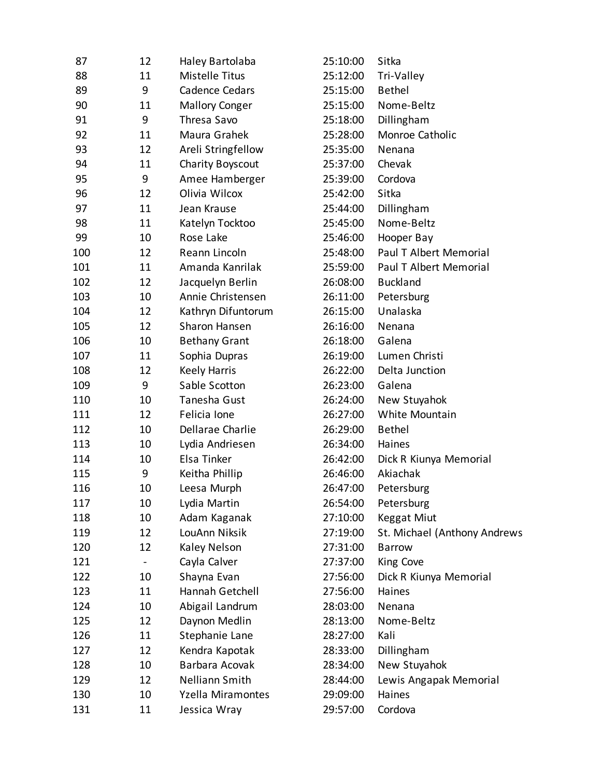| 87  | 12 | Haley Bartolaba       | 25:10:00 | Sitka                        |
|-----|----|-----------------------|----------|------------------------------|
| 88  | 11 | Mistelle Titus        | 25:12:00 | Tri-Valley                   |
| 89  | 9  | Cadence Cedars        | 25:15:00 | <b>Bethel</b>                |
| 90  | 11 | <b>Mallory Conger</b> | 25:15:00 | Nome-Beltz                   |
| 91  | 9  | Thresa Savo           | 25:18:00 | Dillingham                   |
| 92  | 11 | Maura Grahek          | 25:28:00 | Monroe Catholic              |
| 93  | 12 | Areli Stringfellow    | 25:35:00 | Nenana                       |
| 94  | 11 | Charity Boyscout      | 25:37:00 | Chevak                       |
| 95  | 9  | Amee Hamberger        | 25:39:00 | Cordova                      |
| 96  | 12 | Olivia Wilcox         | 25:42:00 | Sitka                        |
| 97  | 11 | Jean Krause           | 25:44:00 | Dillingham                   |
| 98  | 11 | Katelyn Tocktoo       | 25:45:00 | Nome-Beltz                   |
| 99  | 10 | Rose Lake             | 25:46:00 | Hooper Bay                   |
| 100 | 12 | Reann Lincoln         | 25:48:00 | Paul T Albert Memorial       |
| 101 | 11 | Amanda Kanrilak       | 25:59:00 | Paul T Albert Memorial       |
| 102 | 12 | Jacquelyn Berlin      | 26:08:00 | <b>Buckland</b>              |
| 103 | 10 | Annie Christensen     | 26:11:00 | Petersburg                   |
| 104 | 12 | Kathryn Difuntorum    | 26:15:00 | Unalaska                     |
| 105 | 12 | Sharon Hansen         | 26:16:00 | Nenana                       |
| 106 | 10 | <b>Bethany Grant</b>  | 26:18:00 | Galena                       |
| 107 | 11 | Sophia Dupras         | 26:19:00 | Lumen Christi                |
| 108 | 12 | <b>Keely Harris</b>   | 26:22:00 | Delta Junction               |
| 109 | 9  | Sable Scotton         | 26:23:00 | Galena                       |
| 110 | 10 | Tanesha Gust          | 26:24:00 | New Stuyahok                 |
| 111 | 12 | Felicia Ione          | 26:27:00 | White Mountain               |
| 112 | 10 | Dellarae Charlie      | 26:29:00 | <b>Bethel</b>                |
| 113 | 10 | Lydia Andriesen       | 26:34:00 | Haines                       |
| 114 | 10 | Elsa Tinker           | 26:42:00 | Dick R Kiunya Memorial       |
| 115 | 9  | Keitha Phillip        | 26:46:00 | Akiachak                     |
| 116 | 10 | Leesa Murph           | 26:47:00 | Petersburg                   |
| 117 | 10 | Lydia Martin          | 26:54:00 | Petersburg                   |
| 118 | 10 | Adam Kaganak          | 27:10:00 | Keggat Miut                  |
| 119 | 12 | LouAnn Niksik         | 27:19:00 | St. Michael (Anthony Andrews |
| 120 | 12 | Kaley Nelson          | 27:31:00 | <b>Barrow</b>                |
| 121 |    | Cayla Calver          | 27:37:00 | King Cove                    |
| 122 | 10 | Shayna Evan           | 27:56:00 | Dick R Kiunya Memorial       |
| 123 | 11 | Hannah Getchell       | 27:56:00 | Haines                       |
| 124 | 10 | Abigail Landrum       | 28:03:00 | Nenana                       |
| 125 | 12 | Daynon Medlin         | 28:13:00 | Nome-Beltz                   |
| 126 | 11 | Stephanie Lane        | 28:27:00 | Kali                         |
| 127 | 12 | Kendra Kapotak        | 28:33:00 | Dillingham                   |
| 128 | 10 | Barbara Acovak        | 28:34:00 | New Stuyahok                 |
| 129 | 12 | Nelliann Smith        | 28:44:00 | Lewis Angapak Memorial       |
| 130 | 10 | Yzella Miramontes     | 29:09:00 | Haines                       |
| 131 | 11 | Jessica Wray          | 29:57:00 | Cordova                      |